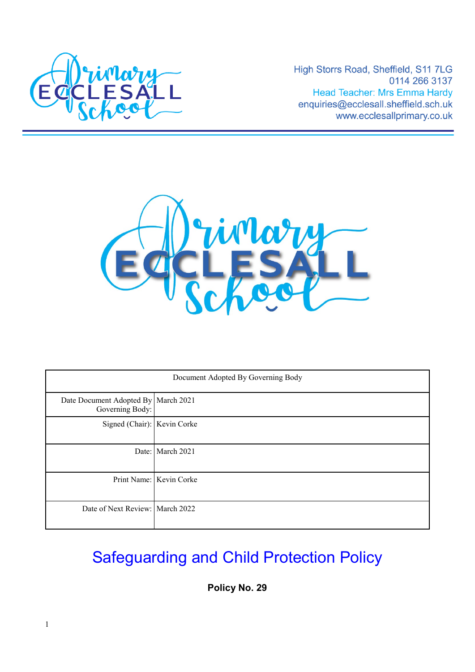

High Storrs Road, Sheffield, S11 7LG 0114 266 3137 **Head Teacher: Mrs Emma Hardy** enquiries@ecclesall.sheffield.sch.uk www.ecclesallprimary.co.uk



| Document Adopted By Governing Body                     |                         |
|--------------------------------------------------------|-------------------------|
| Date Document Adopted By March 2021<br>Governing Body: |                         |
| Signed (Chair): Kevin Corke                            |                         |
|                                                        | Date: March 2021        |
|                                                        | Print Name: Kevin Corke |
| Date of Next Review: March 2022                        |                         |

# Safeguarding and Child Protection Policy

**Policy No. 29**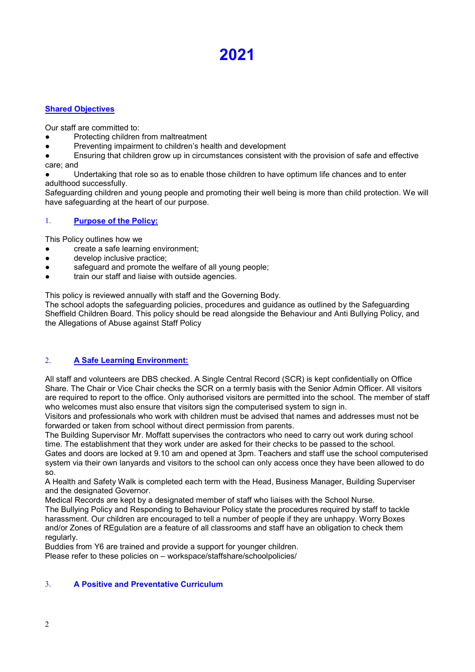## **2021**

## **Shared Objectives**

Our staff are committed to:

- Protecting children from maltreatment
- Preventing impairment to children's health and development
- Ensuring that children grow up in circumstances consistent with the provision of safe and effective care; and

Undertaking that role so as to enable those children to have optimum life chances and to enter adulthood successfully.

Safeguarding children and young people and promoting their well being is more than child protection. We will have safeguarding at the heart of our purpose.

## 1. **Purpose of the Policy:**

This Policy outlines how we

- create a safe learning environment;
- develop inclusive practice;
- safeguard and promote the welfare of all young people;
- train our staff and liaise with outside agencies.

This policy is reviewed annually with staff and the Governing Body.

The school adopts the safeguarding policies, procedures and guidance as outlined by the Safeguarding Sheffield Children Board. This policy should be read alongside the Behaviour and Anti Bullying Policy, and the Allegations of Abuse against Staff Policy

## 2. **A Safe Learning Environment:**

All staff and volunteers are DBS checked. A Single Central Record (SCR) is kept confidentially on Office Share. The Chair or Vice Chair checks the SCR on a termly basis with the Senior Admin Officer. All visitors are required to report to the office. Only authorised visitors are permitted into the school. The member of staff who welcomes must also ensure that visitors sign the computerised system to sign in.

Visitors and professionals who work with children must be advised that names and addresses must not be forwarded or taken from school without direct permission from parents.

The Building Supervisor Mr. Moffatt supervises the contractors who need to carry out work during school time. The establishment that they work under are asked for their checks to be passed to the school.

Gates and doors are locked at 9.10 am and opened at 3pm. Teachers and staff use the school computerised system via their own lanyards and visitors to the school can only access once they have been allowed to do so.

A Health and Safety Walk is completed each term with the Head, Business Manager, Building Superviser and the designated Governor.

Medical Records are kept by a designated member of staff who liaises with the School Nurse. The Bullying Policy and Responding to Behaviour Policy state the procedures required by staff to tackle harassment. Our children are encouraged to tell a number of people if they are unhappy. Worry Boxes and/or Zones of REgulation are a feature of all classrooms and staff have an obligation to check them regularly.

Buddies from Y6 are trained and provide a support for younger children. Please refer to these policies on – workspace/staffshare/schoolpolicies/

## 3. **A Positive and Preventative Curriculum**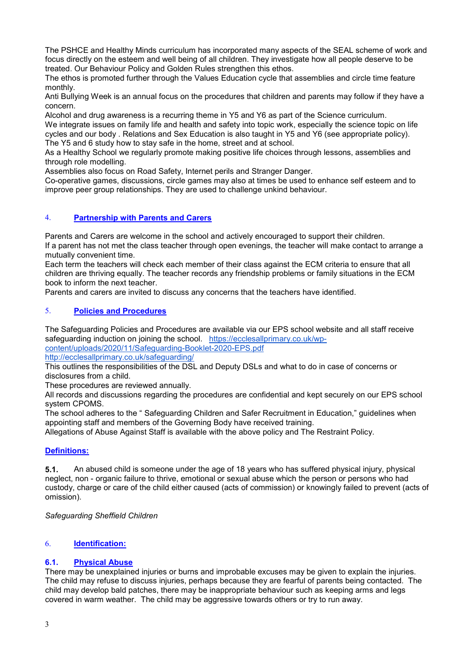The PSHCE and Healthy Minds curriculum has incorporated many aspects of the SEAL scheme of work and focus directly on the esteem and well being of all children. They investigate how all people deserve to be treated. Our Behaviour Policy and Golden Rules strengthen this ethos.

The ethos is promoted further through the Values Education cycle that assemblies and circle time feature monthly.

Anti Bullying Week is an annual focus on the procedures that children and parents may follow if they have a concern.

Alcohol and drug awareness is a recurring theme in Y5 and Y6 as part of the Science curriculum.

We integrate issues on family life and health and safety into topic work, especially the science topic on life cycles and our body . Relations and Sex Education is also taught in Y5 and Y6 (see appropriate policy). The Y5 and 6 study how to stay safe in the home, street and at school.

As a Healthy School we regularly promote making positive life choices through lessons, assemblies and through role modelling.

Assemblies also focus on Road Safety, Internet perils and Stranger Danger.

Co-operative games, discussions, circle games may also at times be used to enhance self esteem and to improve peer group relationships. They are used to challenge unkind behaviour.

## 4. **Partnership with Parents and Carers**

Parents and Carers are welcome in the school and actively encouraged to support their children. If a parent has not met the class teacher through open evenings, the teacher will make contact to arrange a mutually convenient time.

Each term the teachers will check each member of their class against the ECM criteria to ensure that all children are thriving equally. The teacher records any friendship problems or family situations in the ECM book to inform the next teacher.

Parents and carers are invited to discuss any concerns that the teachers have identified.

## 5. **Policies and Procedures**

The Safeguarding Policies and Procedures are available via our EPS school website and all staff receive safeguarding induction on joining the school. [https://ecclesallprimary.co.uk/wp-](https://ecclesallprimary.co.uk/wp-content/uploads/2020/11/Safeguarding-Booklet-2020-EPS.pdf)

[content/uploads/2020/11/Safeguarding-Booklet-2020-EPS.pdf](https://ecclesallprimary.co.uk/wp-content/uploads/2020/11/Safeguarding-Booklet-2020-EPS.pdf)

<http://ecclesallprimary.co.uk/safeguarding/>

This outlines the responsibilities of the DSL and Deputy DSLs and what to do in case of concerns or disclosures from a child.

These procedures are reviewed annually.

All records and discussions regarding the procedures are confidential and kept securely on our EPS school system CPOMS.

The school adheres to the " Safeguarding Children and Safer Recruitment in Education," guidelines when appointing staff and members of the Governing Body have received training.

Allegations of Abuse Against Staff is available with the above policy and The Restraint Policy.

## **Definitions:**

**5.1.** An abused child is someone under the age of 18 years who has suffered physical injury, physical neglect, non - organic failure to thrive, emotional or sexual abuse which the person or persons who had custody, charge or care of the child either caused (acts of commission) or knowingly failed to prevent (acts of omission).

#### *Safeguarding Sheffield Children*

### 6. **Identification:**

### **6.1. Physical Abuse**

There may be unexplained injuries or burns and improbable excuses may be given to explain the injuries. The child may refuse to discuss injuries, perhaps because they are fearful of parents being contacted. The child may develop bald patches, there may be inappropriate behaviour such as keeping arms and legs covered in warm weather. The child may be aggressive towards others or try to run away.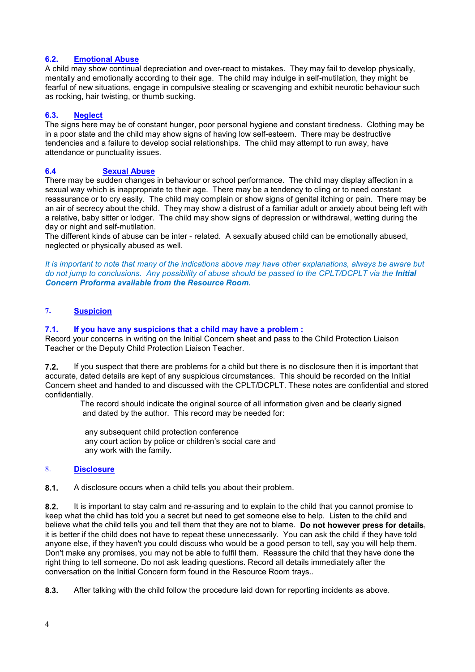#### **6.2. Emotional Abuse**

A child may show continual depreciation and over-react to mistakes. They may fail to develop physically, mentally and emotionally according to their age. The child may indulge in self-mutilation, they might be fearful of new situations, engage in compulsive stealing or scavenging and exhibit neurotic behaviour such as rocking, hair twisting, or thumb sucking.

#### **6.3. Neglect**

The signs here may be of constant hunger, poor personal hygiene and constant tiredness. Clothing may be in a poor state and the child may show signs of having low self-esteem. There may be destructive tendencies and a failure to develop social relationships. The child may attempt to run away, have attendance or punctuality issues.

#### **6.4 Sexual Abuse**

There may be sudden changes in behaviour or school performance. The child may display affection in a sexual way which is inappropriate to their age. There may be a tendency to cling or to need constant reassurance or to cry easily. The child may complain or show signs of genital itching or pain. There may be an air of secrecy about the child. They may show a distrust of a familiar adult or anxiety about being left with a relative, baby sitter or lodger.The child may show signs of depression or withdrawal, wetting during the day or night and self-mutilation.

The different kinds of abuse can be inter - related. A sexually abused child can be emotionally abused, neglected or physically abused as well.

*It is important to note that many of the indications above may have other explanations, always be aware but do not jump to conclusions. Any possibility of abuse should be passed to the CPLT/DCPLT via the <i>Initial Concern Proforma available from the Resource Room.*

## **7. Suspicion**

#### **7.1. If you have any suspicions that a child may have a problem :**

Record your concerns in writing on the Initial Concern sheet and pass to the Child Protection Liaison Teacher or the Deputy Child Protection Liaison Teacher.

**7.2.** If you suspect that there are problems for a child but there is no disclosure then it is important that accurate, dated details are kept of any suspicious circumstances. This should be recorded on the Initial Concern sheet and handed to and discussed with the CPLT/DCPLT. These notes are confidential and stored confidentially.

 The record should indicate the original source of all information given and be clearly signed and dated by the author. This record may be needed for:

 any subsequent child protection conference any court action by police or children's social care and any work with the family.

#### 8. **Disclosure**

**8.1.** A disclosure occurs when a child tells you about their problem.

**8.2.** It is important to stay calm and re-assuring and to explain to the child that you cannot promise to keep what the child has told you a secret but need to get someone else to help. Listen to the child and believe what the child tells you and tell them that they are not to blame. **Do not however press for details**, it is better if the child does not have to repeat these unnecessarily. You can ask the child if they have told anyone else, if they haven't you could discuss who would be a good person to tell, say you will help them. Don't make any promises, you may not be able to fulfil them. Reassure the child that they have done the right thing to tell someone. Do not ask leading questions. Record all details immediately after the conversation on the Initial Concern form found in the Resource Room trays..

**8.3.** After talking with the child follow the procedure laid down for reporting incidents as above.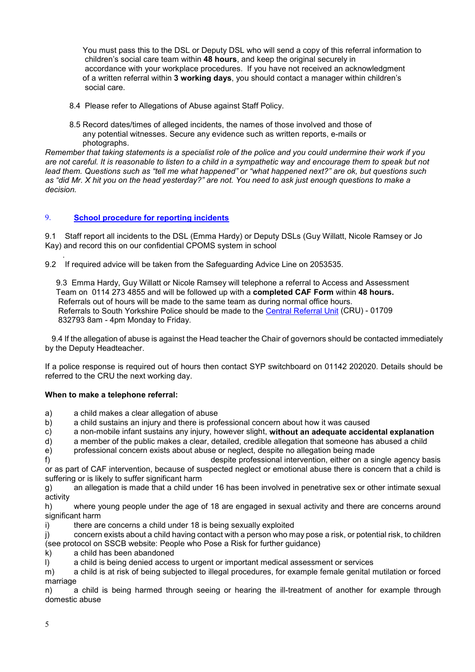You must pass this to the DSL or Deputy DSL who will send a copy of this referral information to children's social care team within **48 hours**, and keep the original securely in accordance with your workplace procedures. If you have not received an acknowledgment of a written referral within **3 working days**, you should contact a manager within children's social care.

- 8.4 Please refer to Allegations of Abuse against Staff Policy.
- 8.5 Record dates/times of alleged incidents, the names of those involved and those of any potential witnesses. Secure any evidence such as written reports, e-mails or photographs.

*Remember that taking statements is a specialist role of the police and you could undermine their work if you are not careful. It is reasonable to listen to a child in a sympathetic way and encourage them to speak but not lead them. Questions such as "tell me what happened" or "what happened next?" are ok, but questions such as "did Mr. X hit you on the head yesterday?" are not. You need to ask just enough questions to make a decision.*

### 9. **School procedure for reporting incidents**

9.1 Staff report all incidents to the DSL (Emma Hardy) or Deputy DSLs (Guy Willatt, Nicole Ramsey or Jo Kay) and record this on our confidential CPOMS system in school

 . 9.2 If required advice will be taken from the Safeguarding Advice Line on 2053535.

9.3 Emma Hardy, Guy Willatt or Nicole Ramsey will telephone a referral to Access and Assessment Team on 0114 273 4855 and will be followed up with a **completed CAF Form** within **48 hours.**  Referrals out of hours will be made to the same team as during normal office hours. Referrals to South Yorkshire Police should be made to the Central Referral Unit (CRU) - 01709 832793 8am - 4pm Monday to Friday.

 9.4 If the allegation of abuse is against the Head teacher the Chair of governors should be contacted immediately by the Deputy Headteacher.

If a police response is required out of hours then contact SYP switchboard on 01142 202020. Details should be referred to the CRU the next working day.

#### **When to make a telephone referral:**

- a) a child makes a clear allegation of abuse
- b) a child sustains an injury and there is professional concern about how it was caused
- c) a non-mobile infant sustains any injury, however slight, **without an adequate accidental explanation**
- a member of the public makes a clear, detailed, credible allegation that someone has abused a child
- e) professional concern exists about abuse or neglect, despite no allegation being made

f) despite professional intervention, either on a single agency basis or as part of CAF intervention, because of suspected neglect or emotional abuse there is concern that a child is suffering or is likely to suffer significant harm

g) an allegation is made that a child under 16 has been involved in penetrative sex or other intimate sexual activity

h) where young people under the age of 18 are engaged in sexual activity and there are concerns around significant harm

i) there are concerns a child under 18 is being sexually exploited

j) concern exists about a child having contact with a person who may pose a risk, or potential risk, to children (see protocol on SSCB website: People who Pose a Risk for further guidance)

- k) a child has been abandoned
- l) a child is being denied access to urgent or important medical assessment or services

m) a child is at risk of being subjected to illegal procedures, for example female genital mutilation or forced marriage

n) a child is being harmed through seeing or hearing the ill-treatment of another for example through domestic abuse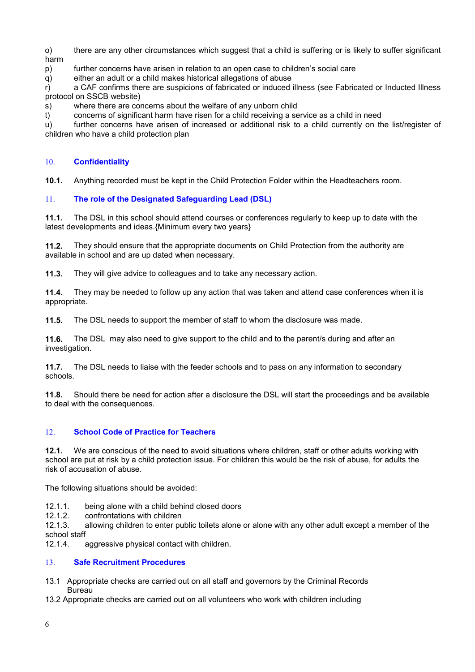o) there are any other circumstances which suggest that a child is suffering or is likely to suffer significant harm

p) further concerns have arisen in relation to an open case to children's social care

q) either an adult or a child makes historical allegations of abuse

r) a CAF confirms there are suspicions of fabricated or induced illness (see Fabricated or Inducted Illness protocol on SSCB website)

s) where there are concerns about the welfare of any unborn child

t) concerns of significant harm have risen for a child receiving a service as a child in need

u) further concerns have arisen of increased or additional risk to a child currently on the list/register of children who have a child protection plan

## 10. **Confidentiality**

**10.1.** Anything recorded must be kept in the Child Protection Folder within the Headteachers room.

## 11. **The role of the Designated Safeguarding Lead (DSL)**

**11.1.** The DSL in this school should attend courses or conferences regularly to keep up to date with the latest developments and ideas.{Minimum every two years}

**11.2.** They should ensure that the appropriate documents on Child Protection from the authority are available in school and are up dated when necessary.

**11.3.** They will give advice to colleagues and to take any necessary action.

**11.4.** They may be needed to follow up any action that was taken and attend case conferences when it is appropriate.

**11.5.** The DSL needs to support the member of staff to whom the disclosure was made.

**11.6.** The DSL may also need to give support to the child and to the parent/s during and after an investigation.

**11.7.** The DSL needs to liaise with the feeder schools and to pass on any information to secondary schools.

**11.8.** Should there be need for action after a disclosure the DSL will start the proceedings and be available to deal with the consequences.

## 12. **School Code of Practice for Teachers**

**12.1.** We are conscious of the need to avoid situations where children, staff or other adults working with school are put at risk by a child protection issue. For children this would be the risk of abuse, for adults the risk of accusation of abuse.

The following situations should be avoided:

12.1.1. being alone with a child behind closed doors

12.1.2. confrontations with children

12.1.3. allowing children to enter public toilets alone or alone with any other adult except a member of the school staff<br>12.1.4

aggressive physical contact with children.

## 13. **Safe Recruitment Procedures**

- 13.1 Appropriate checks are carried out on all staff and governors by the Criminal Records Bureau
- 13.2 Appropriate checks are carried out on all volunteers who work with children including